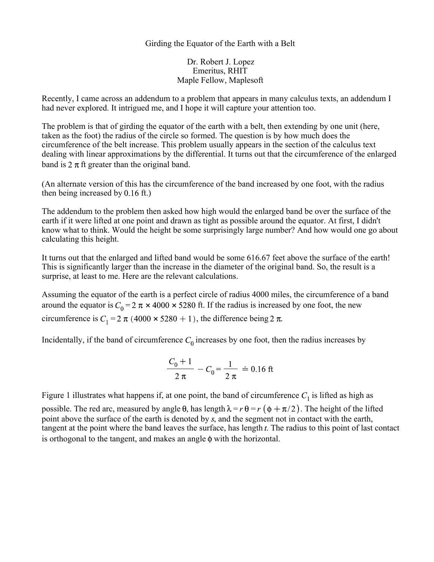## Girding the Equator of the Earth with a Belt

Dr. Robert J. Lopez Emeritus, RHIT Maple Fellow, Maplesoft

Recently, I came across an addendum to a problem that appears in many calculus texts, an addendum I had never explored. It intrigued me, and I hope it will capture your attention too.

The problem is that of girding the equator of the earth with a belt, then extending by one unit (here, taken as the foot) the radius of the circle so formed. The question is by how much does the circumference of the belt increase. This problem usually appears in the section of the calculus text dealing with linear approximations by the differential. It turns out that the circumference of the enlarged band is  $2 \pi$  ft greater than the original band.

(An alternate version of this has the circumference of the band increased by one foot, with the radius then being increased by  $0.16$  ft.)

The addendum to the problem then asked how high would the enlarged band be over the surface of the earth if it were lifted at one point and drawn as tight as possible around the equator. At first, I didn't know what to think. Would the height be some surprisingly large number? And how would one go about calculating this height.

It turns out that the enlarged and lifted band would be some 616.67 feet above the surface of the earth! This is significantly larger than the increase in the diameter of the original band. So, the result is a surprise, at least to me. Here are the relevant calculations.

Assuming the equator of the earth is a perfect circle of radius 4000 miles, the circumference of a band around the equator is  $C_0 = 2 \pi \times 4000 \times 5280$  ft. If the radius is increased by one foot, the new circumference is  $C_1 = 2 \pi (4000 \times 5280 + 1)$ , the difference being 2  $\pi$ .

Incidentally, if the band of circumference  $C_0$  increases by one foot, then the radius increases by

$$
\frac{C_0 + 1}{2 \pi} - C_0 = \frac{1}{2 \pi} \doteq 0.16 \text{ ft}
$$

Figure 1 illustrates what happens if, at one point, the band of circumference  $C_1$  is lifted as high as possible. The red arc, measured by angle  $\theta$ , has length  $\lambda = r \theta = r (\phi + \pi/2)$ . The height of the lifted point above the surface of the earth is denoted by s, and the segment not in contact with the earth, tangent at the point where the band leaves the surface, has length  $t$ . The radius to this point of last contact is orthogonal to the tangent, and makes an angle  $\phi$  with the horizontal.